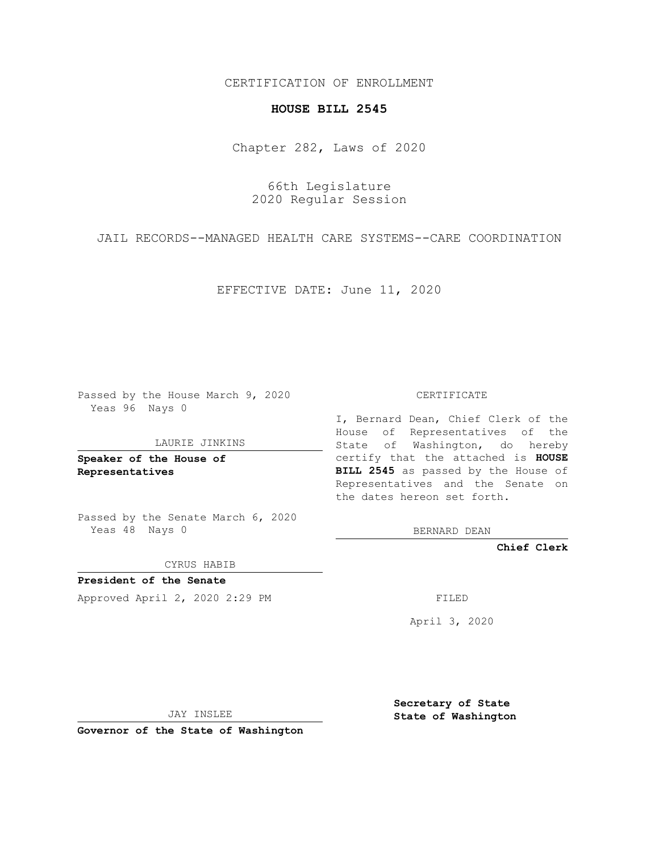CERTIFICATION OF ENROLLMENT

### **HOUSE BILL 2545**

Chapter 282, Laws of 2020

66th Legislature 2020 Regular Session

JAIL RECORDS--MANAGED HEALTH CARE SYSTEMS--CARE COORDINATION

EFFECTIVE DATE: June 11, 2020

Passed by the House March 9, 2020 Yeas 96 Nays 0

LAURIE JINKINS

**Speaker of the House of Representatives**

Passed by the Senate March 6, 2020 Yeas 48 Nays 0

CYRUS HABIB

**President of the Senate** Approved April 2, 2020 2:29 PM

CERTIFICATE

I, Bernard Dean, Chief Clerk of the House of Representatives of the State of Washington, do hereby certify that the attached is **HOUSE BILL 2545** as passed by the House of Representatives and the Senate on the dates hereon set forth.

BERNARD DEAN

**Chief Clerk**

April 3, 2020

JAY INSLEE

**Governor of the State of Washington**

**Secretary of State State of Washington**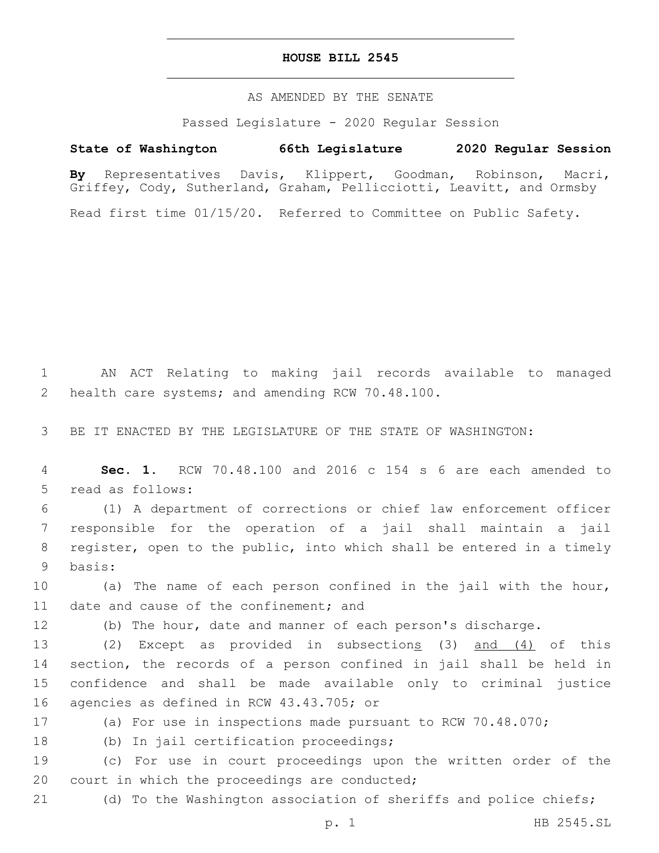#### **HOUSE BILL 2545**

#### AS AMENDED BY THE SENATE

Passed Legislature - 2020 Regular Session

## **State of Washington 66th Legislature 2020 Regular Session**

**By** Representatives Davis, Klippert, Goodman, Robinson, Macri, Griffey, Cody, Sutherland, Graham, Pellicciotti, Leavitt, and Ormsby

Read first time 01/15/20. Referred to Committee on Public Safety.

1 AN ACT Relating to making jail records available to managed 2 health care systems; and amending RCW 70.48.100.

3 BE IT ENACTED BY THE LEGISLATURE OF THE STATE OF WASHINGTON:

4 **Sec. 1.** RCW 70.48.100 and 2016 c 154 s 6 are each amended to 5 read as follows:

 (1) A department of corrections or chief law enforcement officer responsible for the operation of a jail shall maintain a jail register, open to the public, into which shall be entered in a timely 9 basis:

10 (a) The name of each person confined in the jail with the hour, 11 date and cause of the confinement; and

12 (b) The hour, date and manner of each person's discharge.

13 (2) Except as provided in subsections (3) and (4) of this 14 section, the records of a person confined in jail shall be held in 15 confidence and shall be made available only to criminal justice 16 agencies as defined in RCW 43.43.705; or

17 (a) For use in inspections made pursuant to RCW 70.48.070;

18 (b) In jail certification proceedings;

19 (c) For use in court proceedings upon the written order of the 20 court in which the proceedings are conducted;

21 (d) To the Washington association of sheriffs and police chiefs;

p. 1 HB 2545.SL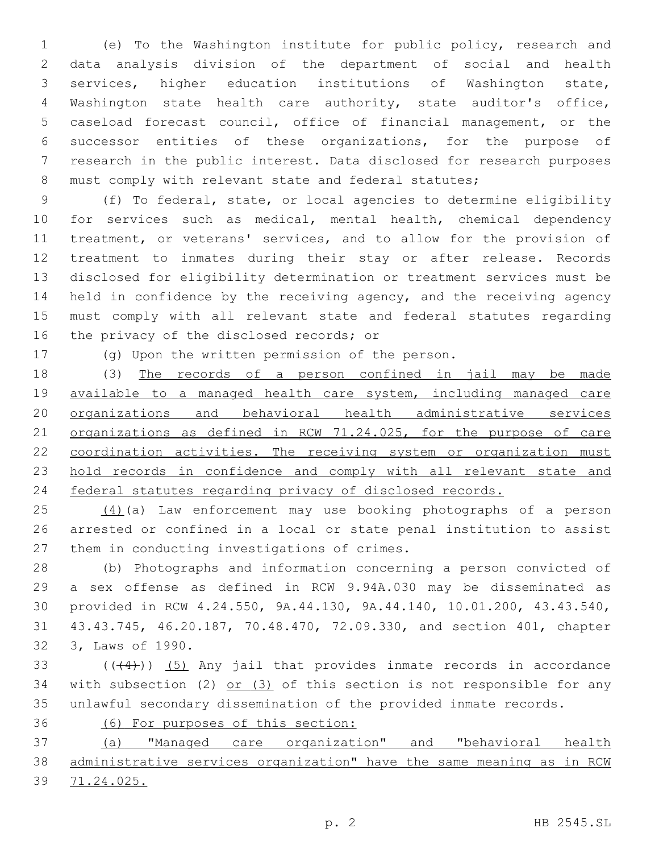(e) To the Washington institute for public policy, research and data analysis division of the department of social and health services, higher education institutions of Washington state, Washington state health care authority, state auditor's office, caseload forecast council, office of financial management, or the successor entities of these organizations, for the purpose of research in the public interest. Data disclosed for research purposes 8 must comply with relevant state and federal statutes;

 (f) To federal, state, or local agencies to determine eligibility 10 for services such as medical, mental health, chemical dependency treatment, or veterans' services, and to allow for the provision of treatment to inmates during their stay or after release. Records disclosed for eligibility determination or treatment services must be held in confidence by the receiving agency, and the receiving agency must comply with all relevant state and federal statutes regarding 16 the privacy of the disclosed records; or

(g) Upon the written permission of the person.

 (3) The records of a person confined in jail may be made available to a managed health care system, including managed care organizations and behavioral health administrative services 21 organizations as defined in RCW 71.24.025, for the purpose of care 22 coordination activities. The receiving system or organization must hold records in confidence and comply with all relevant state and federal statutes regarding privacy of disclosed records.

 (4)(a) Law enforcement may use booking photographs of a person arrested or confined in a local or state penal institution to assist 27 them in conducting investigations of crimes.

 (b) Photographs and information concerning a person convicted of a sex offense as defined in RCW 9.94A.030 may be disseminated as provided in RCW 4.24.550, 9A.44.130, 9A.44.140, 10.01.200, 43.43.540, 43.43.745, 46.20.187, 70.48.470, 72.09.330, and section 401, chapter 32 3, Laws of 1990.

 $(1+4)$ ) (5) Any jail that provides inmate records in accordance 34 with subsection (2) or (3) of this section is not responsible for any unlawful secondary dissemination of the provided inmate records.

(6) For purposes of this section:

 (a) "Managed care organization" and "behavioral health administrative services organization" have the same meaning as in RCW 71.24.025.